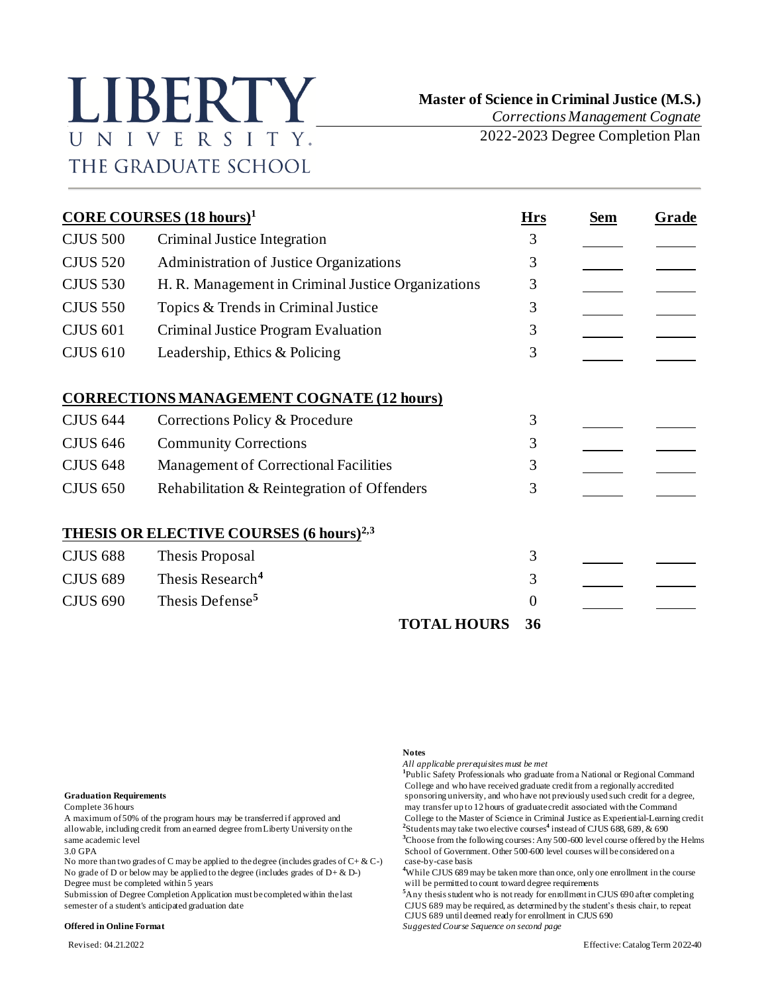# LIBERTY UNIVERSITY. THE GRADUATE SCHOOL

 **Master of Science in Criminal Justice (M.S.)**

*Corrections Management Cognate* 2022-2023 Degree Completion Plan

**CORE COURSES (18 hours)<sup>1</sup> Hrs Sem Grade** CJUS 500 Criminal Justice Integration 3 CJUS 520 Administration of Justice Organizations 3 CJUS 530 H. R. Management in Criminal Justice Organizations 3 CJUS 550 Topics & Trends in Criminal Justice 3 CJUS 601 Criminal Justice Program Evaluation 3 CJUS 610 Leadership, Ethics & Policing 3 **CORRECTIONS MANAGEMENT COGNATE (12 hours)** CJUS 644 Corrections Policy & Procedure 3 CJUS 646 Community Corrections 3 CJUS 648 Management of Correctional Facilities 3 CJUS 650 Rehabilitation & Reintegration of Offenders 3 **THESIS OR ELECTIVE COURSES (6 hours)2,3** CJUS 688 Thesis Proposal 3 CJUS 689 Thesis Research**<sup>4</sup>** 3 CJUS 690 Thesis Defense**<sup>5</sup>** 0 **TOTAL HOURS 36**

allowable, including credit from an earned degree from Liberty University on the **<sup>2</sup>**

No more than two grades of C may be applied to the degree (includes grades of  $C + \& C$ -) No grade of D or below may be applied to the degree (includes grades of  $D + \& D$ -) Degree must be completed within 5 years will be permitted to count toward degree requirements

### **Offered in Online Format** *Suggested Course Sequence on second page*

# **Notes**

*All applicable prerequisites must be met*

<sup>1</sup>Public Safety Professionals who graduate from a National or Regional Command College and who have received graduate credit from a regionally accredited **Graduation Requirements** sponsoring university, and who have not previously used such credit for a degree, Complete 36 hours may transfer up to 12 hours of graduate credit associated with the Command A maximum of 50% of the program hours may be transferred if approved and College to the Master of Science in Criminal Justice as Experiential-Learning credit Students may take two elective courses**<sup>4</sup>** instead of CJUS 688, 689, & 690 same academic level **<sup>3</sup>**Choose from the following courses: Any 500-600 level course offered by the Helms 3.0 GPA<br>No more than two grades of C may be applied to the degree (includes grades of C+ & C-) case-by-case basis

**<sup>4</sup>**While CJUS 689 may be taken more than once, only one enrollment in the course

Submission of Degree Completion Application must be completed within the last <sup>5</sup>Any thesis student who is not ready for enrollment in CJUS 690 after completing semester of a student's anticipated graduation date CJUS 689 CJUS 689 may be required, as determined by the student's thesis chair, to repeat CJUS 689 until deemed ready for enrollment in CJUS 690